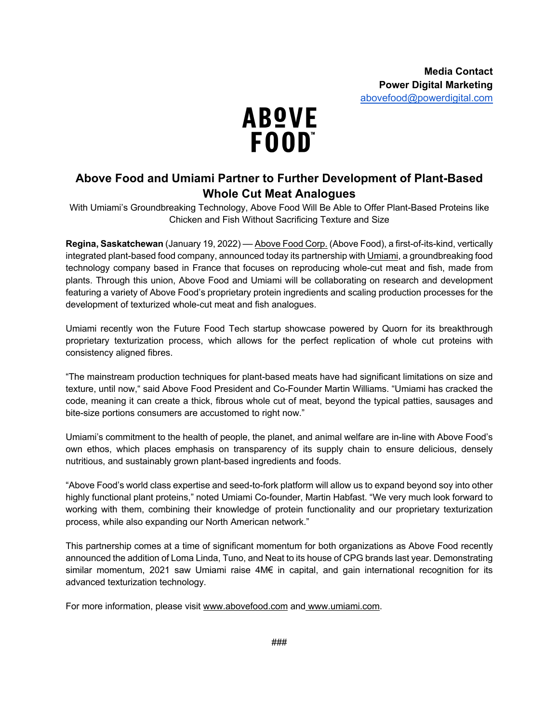

# **Above Food and Umiami Partner to Further Development of Plant-Based Whole Cut Meat Analogues**

With Umiami's Groundbreaking Technology, Above Food Will Be Able to Offer Plant-Based Proteins like Chicken and Fish Without Sacrificing Texture and Size

**Regina, Saskatchewan** (January 19, 2022) –– Above Food Corp. (Above Food), a first-of-its-kind, vertically integrated plant-based food company, announced today its partnership with Umiami, a groundbreaking food technology company based in France that focuses on reproducing whole-cut meat and fish, made from plants. Through this union, Above Food and Umiami will be collaborating on research and development featuring a variety of Above Food's proprietary protein ingredients and scaling production processes for the development of texturized whole-cut meat and fish analogues.

Umiami recently won the Future Food Tech startup showcase powered by Quorn for its breakthrough proprietary texturization process, which allows for the perfect replication of whole cut proteins with consistency aligned fibres.

"The mainstream production techniques for plant-based meats have had significant limitations on size and texture, until now," said Above Food President and Co-Founder Martin Williams. "Umiami has cracked the code, meaning it can create a thick, fibrous whole cut of meat, beyond the typical patties, sausages and bite-size portions consumers are accustomed to right now."

Umiami's commitment to the health of people, the planet, and animal welfare are in-line with Above Food's own ethos, which places emphasis on transparency of its supply chain to ensure delicious, densely nutritious, and sustainably grown plant-based ingredients and foods.

"Above Food's world class expertise and seed-to-fork platform will allow us to expand beyond soy into other highly functional plant proteins," noted Umiami Co-founder, Martin Habfast. "We very much look forward to working with them, combining their knowledge of protein functionality and our proprietary texturization process, while also expanding our North American network."

This partnership comes at a time of significant momentum for both organizations as Above Food recently announced the addition of Loma Linda, Tuno, and Neat to its house of CPG brands last year. Demonstrating similar momentum, 2021 saw Umiami raise 4M€ in capital, and gain international recognition for its advanced texturization technology.

For more information, please visit www.abovefood.com and www.umiami.com.